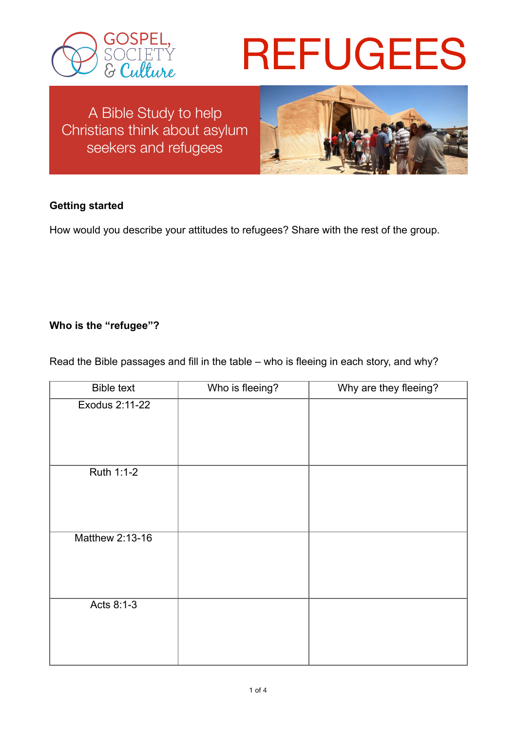

# REFUGEES

A Bible Study to help Christians think about asylum seekers and refugees



## **Getting started**

How would you describe your attitudes to refugees? Share with the rest of the group.

## **Who is the "refugee"?**

Read the Bible passages and fill in the table – who is fleeing in each story, and why?

| <b>Bible text</b> | Who is fleeing? | Why are they fleeing? |
|-------------------|-----------------|-----------------------|
| Exodus 2:11-22    |                 |                       |
|                   |                 |                       |
| Ruth 1:1-2        |                 |                       |
|                   |                 |                       |
| Matthew 2:13-16   |                 |                       |
| Acts 8:1-3        |                 |                       |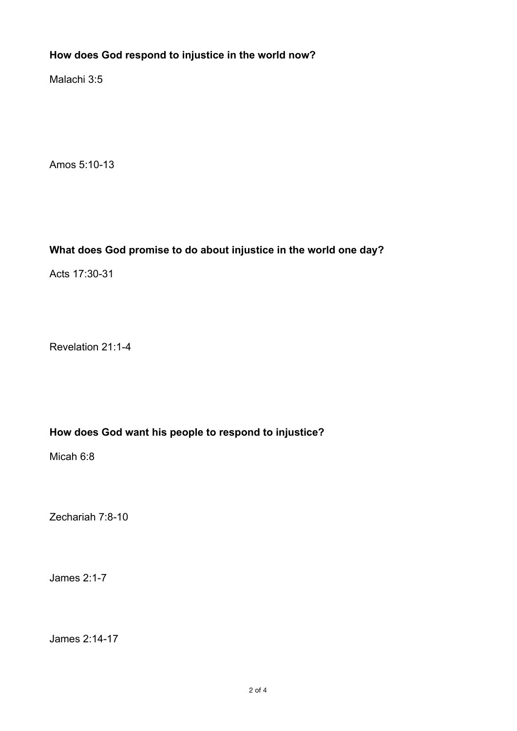## **How does God respond to injustice in the world now?**

Malachi 3:5

Amos 5:10-13

## **What does God promise to do about injustice in the world one day?**

Acts 17:30-31

Revelation 21:1-4

### **How does God want his people to respond to injustice?**

Micah 6:8

Zechariah 7:8-10

James 2:1-7

James 2:14-17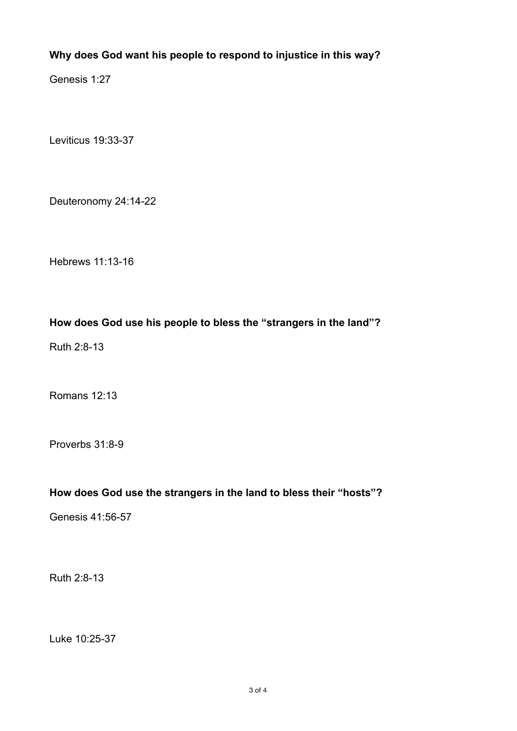## **Why does God want his people to respond to injustice in this way?**

Genesis 1:27

Leviticus 19:33-37

Deuteronomy 24:14-22

Hebrews 11:13-16

### **How does God use his people to bless the "strangers in the land"?**

Ruth 2:8-13

Romans 12:13

Proverbs 31:8-9

## **How does God use the strangers in the land to bless their "hosts"?**

Genesis 41:56-57

Ruth 2:8-13

Luke 10:25-37